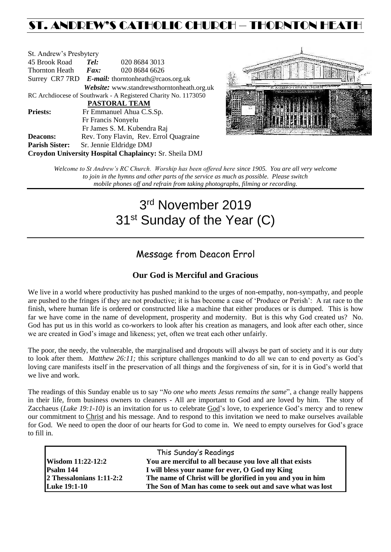## ST. ANDREW'S CATHOLIC CHURCH – THORNTON HEATH

| St. Andrew's Presbytery                                        |                                                   |                                            |  |  |  |
|----------------------------------------------------------------|---------------------------------------------------|--------------------------------------------|--|--|--|
| 45 Brook Road                                                  | Tel:                                              | 020 8684 3013                              |  |  |  |
| <b>Thornton Heath</b>                                          | $\boldsymbol{Fax:}$                               | 020 8684 6626                              |  |  |  |
|                                                                | Surrey CR7 7RD E-mail: thorntonheath@rcaos.org.uk |                                            |  |  |  |
|                                                                |                                                   | Website: www.standrewsthorntonheath.org.uk |  |  |  |
| RC Archdiocese of Southwark - A Registered Charity No. 1173050 |                                                   |                                            |  |  |  |
| PASTORAL TEAM                                                  |                                                   |                                            |  |  |  |
| <b>Priests:</b>                                                |                                                   | Fr Emmanuel Ahua C.S.Sp.                   |  |  |  |
|                                                                | Fr Francis Nonyelu                                |                                            |  |  |  |
|                                                                |                                                   | Fr James S. M. Kubendra Raj                |  |  |  |
| <b>Deacons:</b>                                                |                                                   | Rev. Tony Flavin, Rev. Errol Quagraine     |  |  |  |
| <b>Parish Sister:</b>                                          |                                                   | Sr. Jennie Eldridge DMJ                    |  |  |  |
| Croydon University Hospital Chaplaincy: Sr. Sheila DMJ         |                                                   |                                            |  |  |  |



*Welcome to St Andrew's RC Church. Worship has been offered here since 1905. You are all very welcome to join in the hymns and other parts of the service as much as possible. Please switch mobile phones off and refrain from taking photographs, filming or recording.*

# 3 rd November 2019 31<sup>st</sup> Sunday of the Year (C)

### Message from Deacon Errol

#### **Our God is Merciful and Gracious**

We live in a world where productivity has pushed mankind to the urges of non-empathy, non-sympathy, and people are pushed to the fringes if they are not productive; it is has become a case of 'Produce or Perish': A rat race to the finish, where human life is ordered or constructed like a machine that either produces or is dumped. This is how far we have come in the name of development, prosperity and modernity. But is this why God created us? No. God has put us in this world as co-workers to look after his creation as managers, and look after each other, since we are created in God's image and likeness; yet, often we treat each other unfairly.

The poor, the needy, the vulnerable, the marginalised and dropouts will always be part of society and it is our duty to look after them. *Matthew 26:11;* this scripture challenges mankind to do all we can to end poverty as God's loving care manifests itself in the preservation of all things and the forgiveness of sin, for it is in God's world that we live and work.

The readings of this Sunday enable us to say "*No one who meets Jesus remains the same*", a change really happens in their life, from business owners to cleaners - All are important to God and are loved by him. The story of Zacchaeus (*Luke 19:1-10)* is an invitation for us to celebrate [God'](http://en.wikipedia.org/wiki/God)s love, to experience God's mercy and to renew our commitment to [Christ](http://en.wikipedia.org/wiki/Christ) and his message. And to respond to this invitation we need to make ourselves available for God. We need to open the door of our hearts for God to come in. We need to empty ourselves for God's grace to fill in.

| This Sunday's Readings     |                                                            |  |  |  |
|----------------------------|------------------------------------------------------------|--|--|--|
| <b>Wisdom 11:22-12:2</b>   | You are merciful to all because you love all that exists   |  |  |  |
| Psalm 144                  | I will bless your name for ever, O God my King             |  |  |  |
| $2$ Thessalonians 1:11-2:2 | The name of Christ will be glorified in you and you in him |  |  |  |
| <b>Luke 19:1-10</b>        | The Son of Man has come to seek out and save what was lost |  |  |  |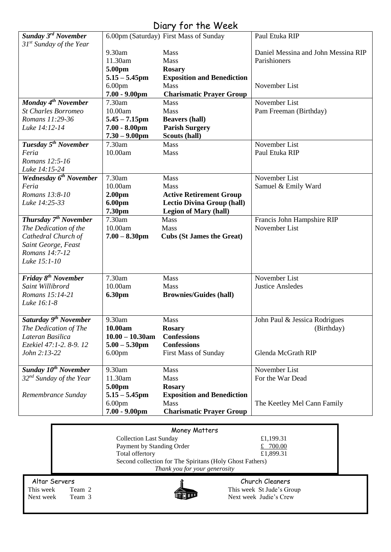### Diary for the Week

| Sunday 3 <sup>rd</sup> November       |                               | 6.00pm (Saturday) First Mass of Sunday                   | Paul Etuka RIP                      |  |
|---------------------------------------|-------------------------------|----------------------------------------------------------|-------------------------------------|--|
| $31st$ Sunday of the Year             |                               |                                                          |                                     |  |
|                                       | 9.30am                        | Mass                                                     | Daniel Messina and John Messina RIP |  |
|                                       | 11.30am                       | Mass                                                     | Parishioners                        |  |
|                                       | 5.00pm                        | <b>Rosary</b>                                            |                                     |  |
|                                       | $5.15 - 5.45$ pm              | <b>Exposition and Benediction</b>                        |                                     |  |
|                                       | 6.00 <sub>pm</sub>            | Mass                                                     | November List                       |  |
|                                       | $7.00 - 9.00$ pm              | <b>Charismatic Prayer Group</b>                          |                                     |  |
| Monday 4 <sup>th</sup> November       | 7.30am                        | <b>Mass</b>                                              | November List                       |  |
| <b>St Charles Borromeo</b>            | 10.00am                       | Mass                                                     | Pam Freeman (Birthday)              |  |
| Romans 11:29-36                       | $5.45 - 7.15$ pm              | <b>Beavers (hall)</b>                                    |                                     |  |
| Luke 14:12-14                         | $7.00 - 8.00$ pm              | <b>Parish Surgery</b>                                    |                                     |  |
|                                       | $7.30 - 9.00$ pm              | Scouts (hall)                                            |                                     |  |
| Tuesday 5 <sup>th</sup> November      | 7.30am                        | Mass                                                     | November List                       |  |
| Feria                                 | 10.00am                       | Mass                                                     | Paul Etuka RIP                      |  |
| Romans 12:5-16                        |                               |                                                          |                                     |  |
| Luke 14:15-24                         |                               |                                                          |                                     |  |
| Wednesday 6 <sup>th</sup> November    | 7.30am                        | Mass                                                     | November List                       |  |
| Feria                                 | 10.00am                       | Mass                                                     | Samuel & Emily Ward                 |  |
| Romans 13:8-10                        | 2.00 <sub>pm</sub>            | <b>Active Retirement Group</b>                           |                                     |  |
| Luke 14:25-33                         | 6.00pm                        | <b>Lectio Divina Group (hall)</b>                        |                                     |  |
|                                       | 7.30pm                        | <b>Legion of Mary (hall)</b>                             |                                     |  |
| Thursday 7 <sup>th</sup> November     | 7.30am                        | Mass                                                     | Francis John Hampshire RIP          |  |
| The Dedication of the                 | 10.00am                       | Mass                                                     | November List                       |  |
| Cathedral Church of                   | $7.00 - 8.30$ pm              | <b>Cubs (St James the Great)</b>                         |                                     |  |
| Saint George, Feast<br>Romans 14:7-12 |                               |                                                          |                                     |  |
| Luke 15:1-10                          |                               |                                                          |                                     |  |
|                                       |                               |                                                          |                                     |  |
| Friday 8 <sup>th</sup> November       | 7.30am                        | Mass                                                     | November List                       |  |
| Saint Willibrord                      | 10.00am                       | Mass                                                     | <b>Justice Ansledes</b>             |  |
| Romans 15:14-21                       | <b>6.30pm</b>                 | <b>Brownies/Guides (hall)</b>                            |                                     |  |
| Luke 16:1-8                           |                               |                                                          |                                     |  |
|                                       |                               |                                                          |                                     |  |
| Saturday 9 <sup>th</sup> November     | 9.30am                        | <b>Mass</b>                                              | John Paul & Jessica Rodrigues       |  |
| The Dedication of The                 | 10.00am                       | <b>Rosary</b>                                            | (Birthday)                          |  |
| Lateran Basilica                      | $10.00 - 10.30$ am            | <b>Confessions</b>                                       |                                     |  |
| Ezekiel 47:1-2. 8-9. 12               | $5.00 - 5.30$ pm              | <b>Confessions</b>                                       |                                     |  |
| John 2:13-22                          | 6.00 <sub>pm</sub>            | <b>First Mass of Sunday</b>                              | Glenda McGrath RIP                  |  |
|                                       |                               |                                                          |                                     |  |
| Sunday 10 <sup>th</sup> November      | 9.30am                        | Mass                                                     | November List                       |  |
| 32 <sup>nd</sup> Sunday of the Year   | 11.30am                       | Mass                                                     | For the War Dead                    |  |
|                                       | 5.00pm                        | <b>Rosary</b>                                            |                                     |  |
| Remembrance Sunday                    | $5.15 - 5.45$ pm              | <b>Exposition and Benediction</b>                        |                                     |  |
|                                       | 6.00 <sub>pm</sub>            | Mass                                                     | The Keetley Mel Cann Family         |  |
|                                       | $7.00 - 9.00$ pm              | <b>Charismatic Prayer Group</b>                          |                                     |  |
|                                       |                               |                                                          |                                     |  |
|                                       |                               | Money Matters                                            |                                     |  |
|                                       | <b>Collection Last Sunday</b> |                                                          | £1,199.31                           |  |
|                                       | Payment by Standing Order     |                                                          | £ $700.00$                          |  |
| Total offertory<br>£1,899.31          |                               |                                                          |                                     |  |
|                                       |                               | Second collection for The Spiritans (Holy Ghost Fathers) |                                     |  |

*Thank you for your generosity*



Altar Servers **Church Cleaners Church Cleaners** This week Team 2 This week St Jude's Group<br>
Next week Team 3 Next week Judie's Crew Next week Team 3 Next week Judie's Crew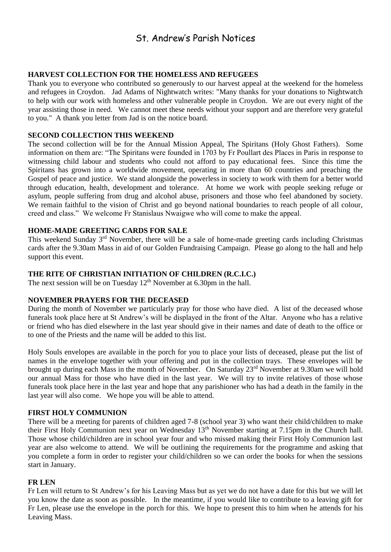### St. Andrew's Parish Notices

#### **HARVEST COLLECTION FOR THE HOMELESS AND REFUGEES**

Thank you to everyone who contributed so generously to our harvest appeal at the weekend for the homeless and refugees in Croydon. Jad Adams of Nightwatch writes: "Many thanks for your donations to Nightwatch to help with our work with homeless and other vulnerable people in Croydon. We are out every night of the year assisting those in need. We cannot meet these needs without your support and are therefore very grateful to you." A thank you letter from Jad is on the notice board.

#### **SECOND COLLECTION THIS WEEKEND**

The second collection will be for the Annual Mission Appeal, The Spiritans (Holy Ghost Fathers). Some information on them are: "The Spiritans were founded in 1703 by Fr Poullart des Places in Paris in response to witnessing child labour and students who could not afford to pay educational fees. Since this time the Spiritans has grown into a worldwide movement, operating in more than 60 countries and preaching the Gospel of peace and justice. We stand alongside the powerless in society to work with them for a better world through education, health, development and tolerance. At home we work with people seeking refuge or asylum, people suffering from drug and alcohol abuse, prisoners and those who feel abandoned by society. We remain faithful to the vision of Christ and go beyond national boundaries to reach people of all colour, creed and class." We welcome Fr Stanislaus Nwaigwe who will come to make the appeal.

#### **HOME-MADE GREETING CARDS FOR SALE**

This weekend Sunday 3<sup>rd</sup> November, there will be a sale of home-made greeting cards including Christmas cards after the 9.30am Mass in aid of our Golden Fundraising Campaign. Please go along to the hall and help support this event.

#### **THE RITE OF CHRISTIAN INITIATION OF CHILDREN (R.C.I.C.)**

The next session will be on Tuesday  $12<sup>th</sup>$  November at 6.30pm in the hall.

#### **NOVEMBER PRAYERS FOR THE DECEASED**

During the month of November we particularly pray for those who have died. A list of the deceased whose funerals took place here at St Andrew's will be displayed in the front of the Altar. Anyone who has a relative or friend who has died elsewhere in the last year should give in their names and date of death to the office or to one of the Priests and the name will be added to this list.

Holy Souls envelopes are available in the porch for you to place your lists of deceased, please put the list of names in the envelope together with your offering and put in the collection trays. These envelopes will be brought up during each Mass in the month of November. On Saturday 23rd November at 9.30am we will hold our annual Mass for those who have died in the last year. We will try to invite relatives of those whose funerals took place here in the last year and hope that any parishioner who has had a death in the family in the last year will also come. We hope you will be able to attend.

#### **FIRST HOLY COMMUNION**

There will be a meeting for parents of children aged 7-8 (school year 3) who want their child/children to make their First Holy Communion next year on Wednesday 13<sup>th</sup> November starting at 7.15pm in the Church hall. Those whose child/children are in school year four and who missed making their First Holy Communion last year are also welcome to attend. We will be outlining the requirements for the programme and asking that you complete a form in order to register your child/children so we can order the books for when the sessions start in January.

#### **FR LEN**

Fr Len will return to St Andrew's for his Leaving Mass but as yet we do not have a date for this but we will let you know the date as soon as possible. In the meantime, if you would like to contribute to a leaving gift for Fr Len, please use the envelope in the porch for this. We hope to present this to him when he attends for his Leaving Mass.